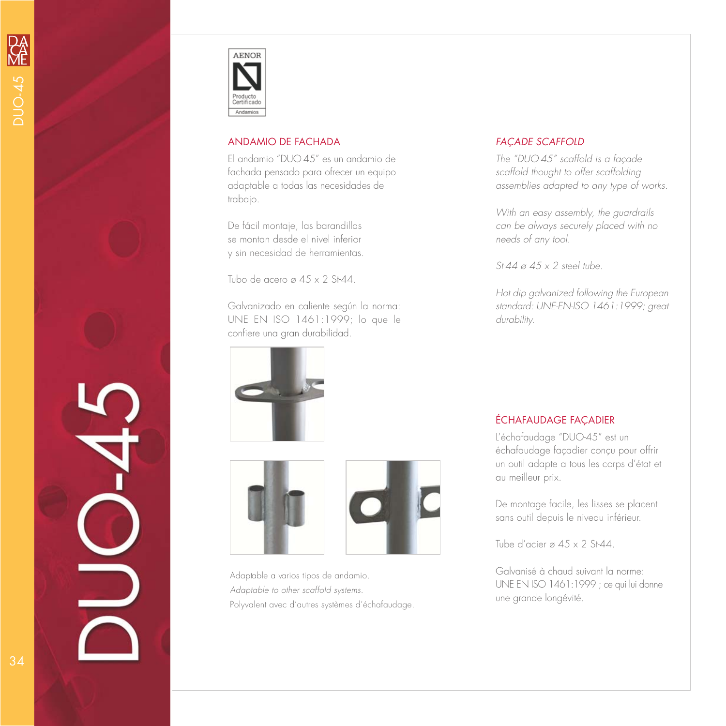

## ANDAMIO DE FACHADA

El andamio "DUO-45" es un andamio de fachada pensado para ofrecer un equipo adaptable a todas las necesidades de trabajo.

De fácil montaje, las barandillas se montan desde el nivel inferior y sin necesidad de herramientas.

Tubo de acero ø 45 x 2 St-44.

Galvanizado en caliente según la norma: UNE EN ISO 1461:1999; lo que le confiere una gran durabilidad.







Adaptable a varios tipos de andamio. Adaptable to other scaffold systems. Polyvalent avec d'autres systèmes d'échafaudage.

## FAÇADE SCAFFOLD

The "DUO-45" scaffold is a façade scaffold thought to offer scaffolding assemblies adapted to any type of works.

With an easy assembly, the guardrails can be always securely placed with no needs of any tool.

St-44  $\varnothing$  45  $\times$  2 steel tube.

Hot dip galvanized following the European standard: UNE-EN-ISO 1461:1999; great durability.

## ÉCHAFAUDAGE FAÇADIER

L'échafaudage "DUO-45" est un échafaudage façadier conçu pour offrir un outil adapte a tous les corps d'état et au meilleur prix.

De montage facile, les lisses se placent sans outil depuis le niveau inférieur.

Tube d'acier ø  $45 \times 2$  St-44.

Galvanisé à chaud suivant la norme: UNE EN ISO 1461:1999 ; ce qui lui donne une grande longévité.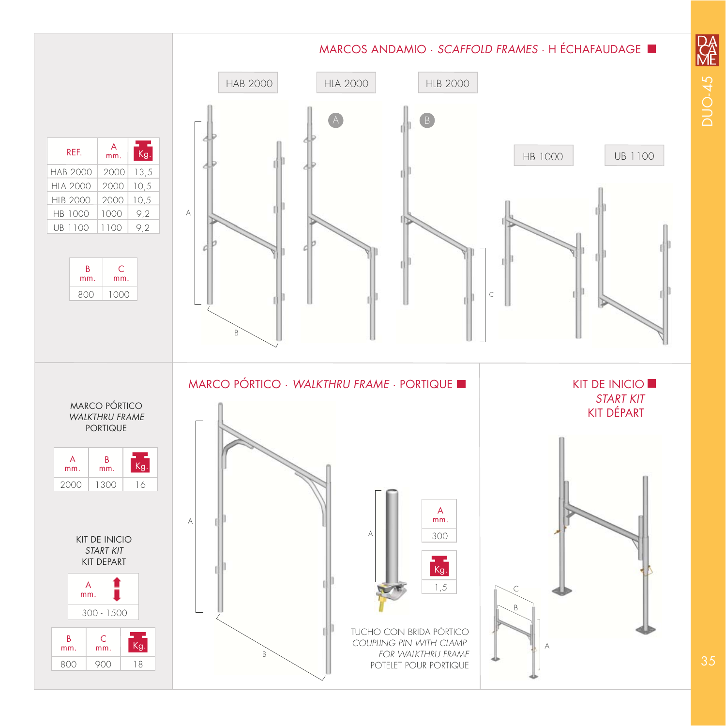

降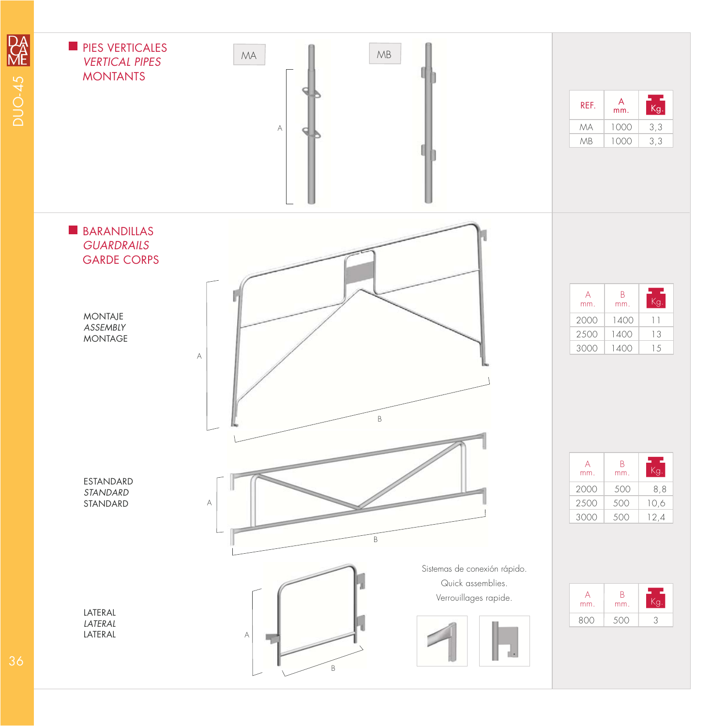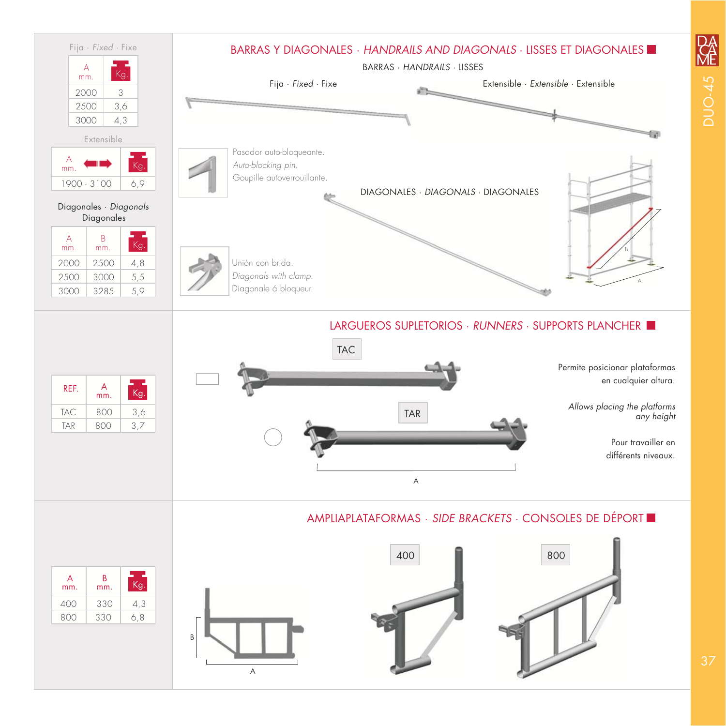

**DA**<br>ME **DUO-45**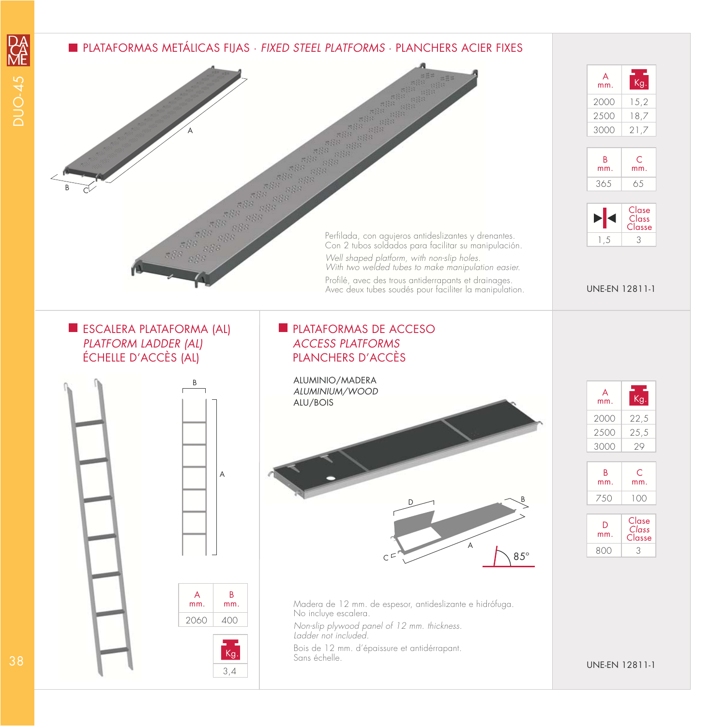## **PLATAFORMAS METÁLICAS FIJAS · FIXED STEEL PLATFORMS · PLANCHERS ACIER FIXES**